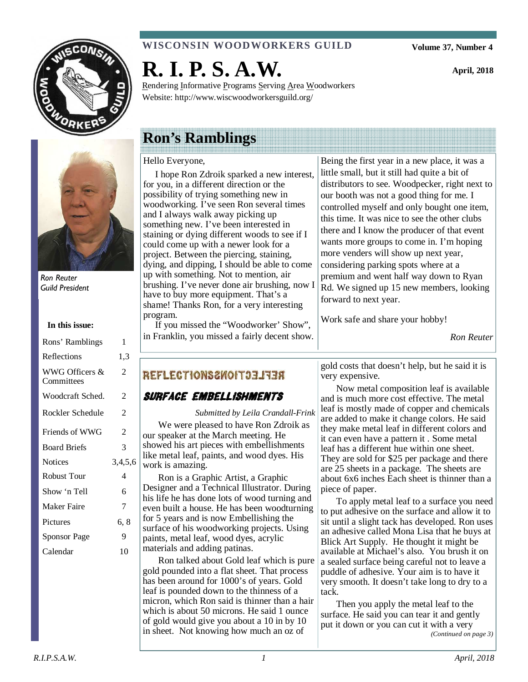



Ron Reuter Guild President

| Rons' Ramblings              | 1       |
|------------------------------|---------|
| Reflections                  | 1,3     |
| WWG Officers &<br>Committees | 2       |
| Woodcraft Sched.             | 2       |
| Rockler Schedule             | 2       |
| Friends of WWG               | 2       |
| <b>Board Briefs</b>          | 3       |
| <b>Notices</b>               | 3,4,5,6 |
| <b>Robust Tour</b>           | 4       |
| Show 'n Tell                 | 6       |
| <b>Maker Faire</b>           | 7       |
| Pictures                     | 6, 8    |
| Sponsor Page                 | 9       |
| Calendar                     | 10      |
|                              |         |

# **WISCONSIN WOODWORKERS GUILD**

**R. I. P. S. A.W.** 

Rendering Informative Programs Serving Area Woodworkers Website: http://www.wiscwoodworkersguild.org/

# **Ron's Ramblings**

# Hello Everyone,

 I hope Ron Zdroik sparked a new interest, for you, in a different direction or the possibility of trying something new in woodworking. I've seen Ron several times and I always walk away picking up something new. I've been interested in staining or dying different woods to see if I could come up with a newer look for a project. Between the piercing, staining, dying, and dipping, I should be able to come up with something. Not to mention, air brushing. I've never done air brushing, now I have to buy more equipment. That's a shame! Thanks Ron, for a very interesting program.

 If you missed the "Woodworker' Show", in Franklin, you missed a fairly decent show.

Being the first year in a new place, it was a little small, but it still had quite a bit of distributors to see. Woodpecker, right next to our booth was not a good thing for me. I controlled myself and only bought one item, this time. It was nice to see the other clubs there and I know the producer of that event wants more groups to come in. I'm hoping more venders will show up next year, considering parking spots where at a premium and went half way down to Ryan Rd. We signed up 15 new members, looking forward to next year.

Work safe and share your hobby!

*Ron Reuter* 

# **REFLECTIONS2WOIT33IT3A**

# Surface Embellishments

*Submitted by Leila Crandall-Frink* 

We were pleased to have Ron Zdroik as our speaker at the March meeting. He showed his art pieces with embellishments like metal leaf, paints, and wood dyes. His work is amazing.

Ron is a Graphic Artist, a Graphic Designer and a Technical Illustrator. During his life he has done lots of wood turning and even built a house. He has been woodturning for 5 years and is now Embellishing the surface of his woodworking projects. Using paints, metal leaf, wood dyes, acrylic materials and adding patinas.

Ron talked about Gold leaf which is pure gold pounded into a flat sheet. That process has been around for 1000's of years. Gold leaf is pounded down to the thinness of a micron, which Ron said is thinner than a hair which is about 50 microns. He said 1 ounce of gold would give you about a 10 in by 10 in sheet. Not knowing how much an oz of

gold costs that doesn't help, but he said it is very expensive.

Now metal composition leaf is available and is much more cost effective. The metal leaf is mostly made of copper and chemicals are added to make it change colors. He said they make metal leaf in different colors and it can even have a pattern it . Some metal leaf has a different hue within one sheet. They are sold for \$25 per package and there are 25 sheets in a package. The sheets are about 6x6 inches Each sheet is thinner than a piece of paper.

To apply metal leaf to a surface you need to put adhesive on the surface and allow it to sit until a slight tack has developed. Ron uses an adhesive called Mona Lisa that he buys at Blick Art Supply. He thought it might be available at Michael's also. You brush it on a sealed surface being careful not to leave a puddle of adhesive. Your aim is to have it very smooth. It doesn't take long to dry to a tack.

Then you apply the metal leaf to the surface. He said you can tear it and gently put it down or you can cut it with a very *(Continued on page 3)* 

**Volume 37, Number 4** 

**April, 2018**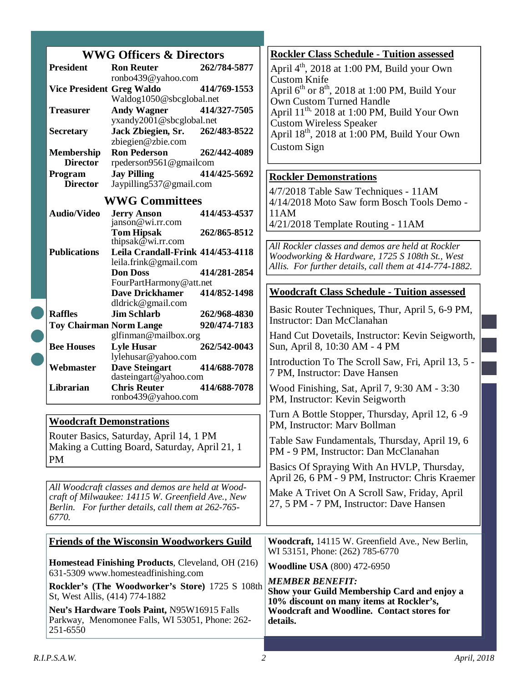|                                                                                                                  | <b>WWG Officers &amp; Directors</b>                                                            |                                                   |                                                                                          | <b>Rockler Class Schedule - Tuition assessed</b>                                            |
|------------------------------------------------------------------------------------------------------------------|------------------------------------------------------------------------------------------------|---------------------------------------------------|------------------------------------------------------------------------------------------|---------------------------------------------------------------------------------------------|
|                                                                                                                  | <b>President</b>                                                                               | <b>Ron Reuter</b>                                 | 262/784-5877                                                                             | April 4 <sup>th</sup> , 2018 at 1:00 PM, Build your Own                                     |
|                                                                                                                  | <b>Vice President Greg Waldo</b>                                                               | ronbo439@yahoo.com                                | 414/769-1553                                                                             | <b>Custom Knife</b>                                                                         |
|                                                                                                                  |                                                                                                | Waldog1050@sbcglobal.net                          |                                                                                          | April $6^{th}$ or $8^{th}$ , 2018 at 1:00 PM, Build Your<br><b>Own Custom Turned Handle</b> |
|                                                                                                                  | <b>Treasurer</b>                                                                               | <b>Andy Wagner</b>                                | 414/327-7505                                                                             | April 11 <sup>th,</sup> 2018 at 1:00 PM, Build Your Own                                     |
|                                                                                                                  |                                                                                                | yxandy2001@sbcglobal.net                          |                                                                                          | <b>Custom Wireless Speaker</b>                                                              |
|                                                                                                                  | <b>Secretary</b>                                                                               | Jack Zbiegien, Sr.                                | 262/483-8522                                                                             | April 18 <sup>th</sup> , 2018 at 1:00 PM, Build Your Own                                    |
|                                                                                                                  | <b>Membership</b>                                                                              | zbiegien@zbie.com<br><b>Ron Pederson</b>          | 262/442-4089                                                                             | <b>Custom Sign</b>                                                                          |
|                                                                                                                  | <b>Director</b>                                                                                | rpederson9561@gmailcom                            |                                                                                          |                                                                                             |
|                                                                                                                  | Program                                                                                        | <b>Jay Pilling</b>                                | 414/425-5692                                                                             | <b>Rockler Demonstrations</b>                                                               |
|                                                                                                                  | <b>Director</b>                                                                                | Jaypilling537@gmail.com                           |                                                                                          | 4/7/2018 Table Saw Techniques - 11AM                                                        |
|                                                                                                                  | <b>WWG Committees</b>                                                                          |                                                   |                                                                                          | 4/14/2018 Moto Saw form Bosch Tools Demo -                                                  |
|                                                                                                                  | <b>Audio/Video</b>                                                                             | <b>Jerry Anson</b>                                | 414/453-4537                                                                             | 11AM                                                                                        |
|                                                                                                                  |                                                                                                | janson@wi.rr.com<br><b>Tom Hipsak</b>             | 262/865-8512                                                                             | 4/21/2018 Template Routing - 11AM                                                           |
|                                                                                                                  |                                                                                                | thipsak $@$ wi.rr.com                             |                                                                                          | All Rockler classes and demos are held at Rockler                                           |
|                                                                                                                  | <b>Publications</b>                                                                            | Leila Crandall-Frink 414/453-4118                 |                                                                                          | Woodworking & Hardware, 1725 S 108th St., West                                              |
|                                                                                                                  |                                                                                                | leila.frink@gmail.com<br><b>Don Doss</b>          | 414/281-2854                                                                             | Allis. For further details, call them at 414-774-1882.                                      |
|                                                                                                                  |                                                                                                | FourPartHarmony@att.net                           |                                                                                          |                                                                                             |
|                                                                                                                  |                                                                                                | <b>Dave Drickhamer</b>                            | 414/852-1498                                                                             | <b>Woodcraft Class Schedule - Tuition assessed</b>                                          |
|                                                                                                                  |                                                                                                | dldrick@gmail.com                                 |                                                                                          | Basic Router Techniques, Thur, April 5, 6-9 PM,                                             |
|                                                                                                                  | <b>Raffles</b><br><b>Toy Chairman Norm Lange</b>                                               | <b>Jim Schlarb</b>                                | 262/968-4830<br>920/474-7183                                                             | Instructor: Dan McClanahan                                                                  |
|                                                                                                                  |                                                                                                | glfinman@mailbox.org                              |                                                                                          | Hand Cut Dovetails, Instructor: Kevin Seigworth,                                            |
|                                                                                                                  | <b>Bee Houses</b>                                                                              | <b>Lyle Husar</b><br>lylehusar@yahoo.com          | 262/542-0043                                                                             | Sun, April 8, 10:30 AM - 4 PM                                                               |
|                                                                                                                  | Webmaster                                                                                      | <b>Dave Steingart</b><br>dasteingart@yahoo.com    | 414/688-7078                                                                             | Introduction To The Scroll Saw, Fri, April 13, 5 -<br>7 PM, Instructor: Dave Hansen         |
|                                                                                                                  | Librarian                                                                                      | <b>Chris Reuter</b>                               | 414/688-7078                                                                             | Wood Finishing, Sat, April 7, 9:30 AM - 3:30                                                |
|                                                                                                                  |                                                                                                | ronbo439@yahoo.com                                |                                                                                          | PM, Instructor: Kevin Seigworth                                                             |
|                                                                                                                  |                                                                                                | <b>Woodcraft Demonstrations</b>                   |                                                                                          | Turn A Bottle Stopper, Thursday, April 12, 6 -9                                             |
|                                                                                                                  |                                                                                                |                                                   |                                                                                          | PM, Instructor: Mary Bollman                                                                |
|                                                                                                                  | Router Basics, Saturday, April 14, 1 PM<br>Making a Cutting Board, Saturday, April 21, 1       |                                                   |                                                                                          | Table Saw Fundamentals, Thursday, April 19, 6                                               |
|                                                                                                                  | <b>PM</b>                                                                                      |                                                   |                                                                                          | PM - 9 PM, Instructor: Dan McClanahan                                                       |
|                                                                                                                  |                                                                                                |                                                   |                                                                                          | Basics Of Spraying With An HVLP, Thursday,                                                  |
|                                                                                                                  |                                                                                                | All Woodcraft classes and demos are held at Wood- |                                                                                          | April 26, 6 PM - 9 PM, Instructor: Chris Kraemer                                            |
| craft of Milwaukee: 14115 W. Greenfield Ave., New<br>Berlin. For further details, call them at 262-765-<br>6770. |                                                                                                |                                                   | Make A Trivet On A Scroll Saw, Friday, April<br>27, 5 PM - 7 PM, Instructor: Dave Hansen |                                                                                             |
|                                                                                                                  |                                                                                                |                                                   |                                                                                          |                                                                                             |
|                                                                                                                  |                                                                                                |                                                   |                                                                                          |                                                                                             |
|                                                                                                                  |                                                                                                | <b>Friends of the Wisconsin Woodworkers Guild</b> |                                                                                          | Woodcraft, 14115 W. Greenfield Ave., New Berlin,<br>WI 53151, Phone: (262) 785-6770         |
| <b>Homestead Finishing Products, Cleveland, OH (216)</b>                                                         |                                                                                                |                                                   | <b>Woodline USA</b> (800) 472-6950                                                       |                                                                                             |
|                                                                                                                  | 631-5309 www.homesteadfinishing.com                                                            |                                                   |                                                                                          | <b>MEMBER BENEFIT:</b>                                                                      |
|                                                                                                                  | Rockler's (The Woodworker's Store) 1725 S 108th                                                |                                                   |                                                                                          | Show your Guild Membership Card and enjoy a                                                 |
|                                                                                                                  | St, West Allis, (414) 774-1882                                                                 |                                                   |                                                                                          | 10% discount on many items at Rockler's,                                                    |
|                                                                                                                  | Neu's Hardware Tools Paint, N95W16915 Falls<br>Parkway, Menomonee Falls, WI 53051, Phone: 262- |                                                   |                                                                                          | <b>Woodcraft and Woodline. Contact stores for</b><br>details.                               |
|                                                                                                                  | 251-6550                                                                                       |                                                   |                                                                                          |                                                                                             |

C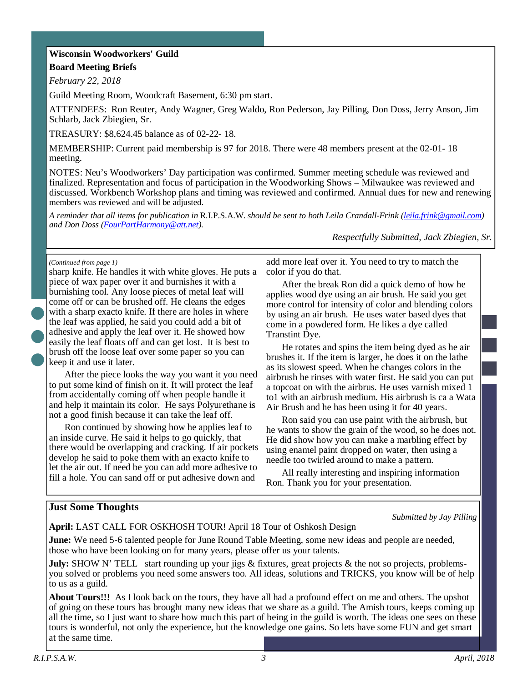# **Wisconsin Woodworkers' Guild Board Meeting Briefs**

*February 22, 2018* 

Guild Meeting Room, Woodcraft Basement, 6:30 pm start.

ATTENDEES: Ron Reuter, Andy Wagner, Greg Waldo, Ron Pederson, Jay Pilling, Don Doss, Jerry Anson, Jim Schlarb, Jack Zbiegien, Sr.

TREASURY: \$8,624.45 balance as of 02-22- 18.

MEMBERSHIP: Current paid membership is 97 for 2018. There were 48 members present at the 02-01- 18 meeting.

NOTES: Neu's Woodworkers' Day participation was confirmed. Summer meeting schedule was reviewed and finalized. Representation and focus of participation in the Woodworking Shows – Milwaukee was reviewed and discussed. Workbench Workshop plans and timing was reviewed and confirmed. Annual dues for new and renewing members was reviewed and will be adjusted.

*A reminder that all items for publication in* R.I.P.S.A.W. *should be sent to both Leila Crandall-Frink (leila.frink@gmail.com) and Don Doss (FourPartHarmony@att.net).* 

*Respectfully Submitted, Jack Zbiegien, Sr.*

#### *(Continued from page 1)*

sharp knife. He handles it with white gloves. He puts a piece of wax paper over it and burnishes it with a burnishing tool. Any loose pieces of metal leaf will come off or can be brushed off. He cleans the edges with a sharp exacto knife. If there are holes in where the leaf was applied, he said you could add a bit of adhesive and apply the leaf over it. He showed how easily the leaf floats off and can get lost. It is best to brush off the loose leaf over some paper so you can keep it and use it later.

After the piece looks the way you want it you need to put some kind of finish on it. It will protect the leaf from accidentally coming off when people handle it and help it maintain its color. He says Polyurethane is not a good finish because it can take the leaf off.

Ron continued by showing how he applies leaf to an inside curve. He said it helps to go quickly, that there would be overlapping and cracking. If air pockets develop he said to poke them with an exacto knife to let the air out. If need be you can add more adhesive to fill a hole. You can sand off or put adhesive down and

add more leaf over it. You need to try to match the color if you do that.

After the break Ron did a quick demo of how he applies wood dye using an air brush. He said you get more control for intensity of color and blending colors by using an air brush. He uses water based dyes that come in a powdered form. He likes a dye called Transtint Dye.

He rotates and spins the item being dyed as he air brushes it. If the item is larger, he does it on the lathe as its slowest speed. When he changes colors in the airbrush he rinses with water first. He said you can put a topcoat on with the airbrus. He uses varnish mixed 1 to1 with an airbrush medium. His airbrush is ca a Wata Air Brush and he has been using it for 40 years.

Ron said you can use paint with the airbrush, but he wants to show the grain of the wood, so he does not. He did show how you can make a marbling effect by using enamel paint dropped on water, then using a needle too twirled around to make a pattern.

All really interesting and inspiring information Ron. Thank you for your presentation.

#### **Just Some Thoughts**

*Submitted by Jay Pilling* 

**April:** LAST CALL FOR OSKHOSH TOUR! April 18 Tour of Oshkosh Design

**June:** We need 5-6 talented people for June Round Table Meeting, some new ideas and people are needed, those who have been looking on for many years, please offer us your talents.

**July:** SHOW N' TELL start rounding up your jigs & fixtures, great projects & the not so projects, problemsyou solved or problems you need some answers too. All ideas, solutions and TRICKS, you know will be of help to us as a guild.

**About Tours!!!** As I look back on the tours, they have all had a profound effect on me and others. The upshot of going on these tours has brought many new ideas that we share as a guild. The Amish tours, keeps coming up all the time, so I just want to share how much this part of being in the guild is worth. The ideas one sees on these tours is wonderful, not only the experience, but the knowledge one gains. So lets have some FUN and get smart at the same time.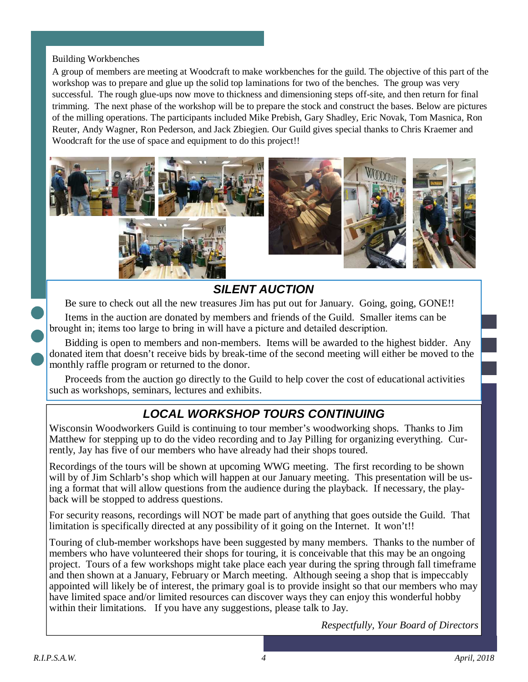### Building Workbenches

A group of members are meeting at Woodcraft to make workbenches for the guild. The objective of this part of the workshop was to prepare and glue up the solid top laminations for two of the benches. The group was very successful. The rough glue-ups now move to thickness and dimensioning steps off-site, and then return for final trimming. The next phase of the workshop will be to prepare the stock and construct the bases. Below are pictures of the milling operations. The participants included Mike Prebish, Gary Shadley, Eric Novak, Tom Masnica, Ron Reuter, Andy Wagner, Ron Pederson, and Jack Zbiegien. Our Guild gives special thanks to Chris Kraemer and Woodcraft for the use of space and equipment to do this project!!



# **SILENT AUCTION**

Be sure to check out all the new treasures Jim has put out for January. Going, going, GONE!!

Items in the auction are donated by members and friends of the Guild. Smaller items can be brought in; items too large to bring in will have a picture and detailed description.

Bidding is open to members and non-members. Items will be awarded to the highest bidder. Any donated item that doesn't receive bids by break-time of the second meeting will either be moved to the monthly raffle program or returned to the donor.

Proceeds from the auction go directly to the Guild to help cover the cost of educational activities such as workshops, seminars, lectures and exhibits.

# **LOCAL WORKSHOP TOURS CONTINUING**

Wisconsin Woodworkers Guild is continuing to tour member's woodworking shops. Thanks to Jim Matthew for stepping up to do the video recording and to Jay Pilling for organizing everything. Currently, Jay has five of our members who have already had their shops toured.

Recordings of the tours will be shown at upcoming WWG meeting. The first recording to be shown will by of Jim Schlarb's shop which will happen at our January meeting. This presentation will be using a format that will allow questions from the audience during the playback. If necessary, the playback will be stopped to address questions.

For security reasons, recordings will NOT be made part of anything that goes outside the Guild. That limitation is specifically directed at any possibility of it going on the Internet. It won't!!

Touring of club-member workshops have been suggested by many members. Thanks to the number of members who have volunteered their shops for touring, it is conceivable that this may be an ongoing project. Tours of a few workshops might take place each year during the spring through fall timeframe and then shown at a January, February or March meeting. Although seeing a shop that is impeccably appointed will likely be of interest, the primary goal is to provide insight so that our members who may have limited space and/or limited resources can discover ways they can enjoy this wonderful hobby within their limitations. If you have any suggestions, please talk to Jay.

*Respectfully, Your Board of Directors*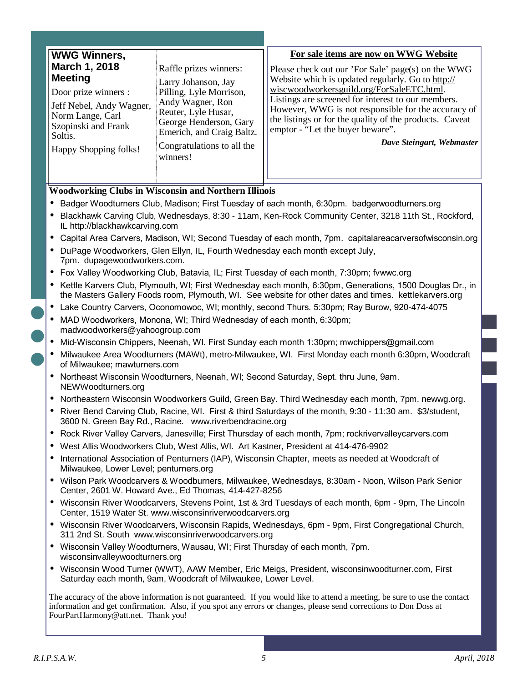| <b>WWG Winners,</b>                                                                                                                                                |                                                                                                                                                                                                          | For sale items are now on WWG Website                                                                                                                                                                                                                                                                                                                                                         |
|--------------------------------------------------------------------------------------------------------------------------------------------------------------------|----------------------------------------------------------------------------------------------------------------------------------------------------------------------------------------------------------|-----------------------------------------------------------------------------------------------------------------------------------------------------------------------------------------------------------------------------------------------------------------------------------------------------------------------------------------------------------------------------------------------|
| March 1, 2018<br><b>Meeting</b><br>Door prize winners :<br>Jeff Nebel, Andy Wagner,<br>Norm Lange, Carl<br>Szopinski and Frank<br>Soltis.<br>Happy Shopping folks! | Raffle prizes winners:<br>Larry Johanson, Jay<br>Pilling, Lyle Morrison,<br>Andy Wagner, Ron<br>Reuter, Lyle Husar,<br>George Henderson, Gary<br>Emerich, and Craig Baltz.<br>Congratulations to all the | Please check out our 'For Sale' page(s) on the WWG<br>Website which is updated regularly. Go to http://<br>wiscwoodworkersguild.org/ForSaleETC.html.<br>Listings are screened for interest to our members.<br>However, WWG is not responsible for the accuracy of<br>the listings or for the quality of the products. Caveat<br>emptor - "Let the buyer beware".<br>Dave Steingart, Webmaster |
|                                                                                                                                                                    | winners!                                                                                                                                                                                                 |                                                                                                                                                                                                                                                                                                                                                                                               |

#### **Woodworking Clubs in Wisconsin and Northern Illinois**

- Badger Woodturners Club, Madison; First Tuesday of each month, 6:30pm. badgerwoodturners.org
- Blackhawk Carving Club, Wednesdays, 8:30 11am, Ken-Rock Community Center, 3218 11th St., Rockford, IL http://blackhawkcarving.com
- Capital Area Carvers, Madison, WI; Second Tuesday of each month, 7pm. capitalareacarversofwisconsin.org
- DuPage Woodworkers, Glen Ellyn, IL, Fourth Wednesday each month except July, 7pm. dupagewoodworkers.com.
- Fox Valley Woodworking Club, Batavia, IL; First Tuesday of each month, 7:30pm; fvwwc.org
- Kettle Karvers Club, Plymouth, WI; First Wednesday each month, 6:30pm, Generations, 1500 Douglas Dr., in the Masters Gallery Foods room, Plymouth, WI. See website for other dates and times. kettlekarvers.org
- Lake Country Carvers, Oconomowoc, WI; monthly, second Thurs. 5:30pm; Ray Burow, 920-474-4075
- MAD Woodworkers, Monona, WI; Third Wednesday of each month, 6:30pm; madwoodworkers@yahoogroup.com
- Mid-Wisconsin Chippers, Neenah, WI. First Sunday each month 1:30pm; mwchippers@gmail.com
- Milwaukee Area Woodturners (MAWt), metro-Milwaukee, WI. First Monday each month 6:30pm, Woodcraft of Milwaukee; mawturners.com
- Northeast Wisconsin Woodturners, Neenah, WI; Second Saturday, Sept. thru June, 9am. NEWWoodturners.org
- Northeastern Wisconsin Woodworkers Guild, Green Bay. Third Wednesday each month, 7pm. newwg.org.
- River Bend Carving Club, Racine, WI. First & third Saturdays of the month, 9:30 11:30 am. \$3/student, 3600 N. Green Bay Rd., Racine. www.riverbendracine.org
- Rock River Valley Carvers, Janesville; First Thursday of each month, 7pm; rockrivervalleycarvers.com
- West Allis Woodworkers Club, West Allis, WI. Art Kastner, President at 414-476-9902
- International Association of Penturners (IAP), Wisconsin Chapter, meets as needed at Woodcraft of Milwaukee, Lower Level; penturners.org
- Wilson Park Woodcarvers & Woodburners, Milwaukee, Wednesdays, 8:30am Noon, Wilson Park Senior Center, 2601 W. Howard Ave., Ed Thomas, 414-427-8256
- Wisconsin River Woodcarvers, Stevens Point, 1st & 3rd Tuesdays of each month, 6pm 9pm, The Lincoln Center, 1519 Water St. www.wisconsinriverwoodcarvers.org
- Wisconsin River Woodcarvers, Wisconsin Rapids, Wednesdays, 6pm 9pm, First Congregational Church, 311 2nd St. South www.wisconsinriverwoodcarvers.org
- Wisconsin Valley Woodturners, Wausau, WI; First Thursday of each month, 7pm. wisconsinvalleywoodturners.org
- Wisconsin Wood Turner (WWT), AAW Member, Eric Meigs, President, wisconsinwoodturner.com, First Saturday each month, 9am, Woodcraft of Milwaukee, Lower Level.

The accuracy of the above information is not guaranteed. If you would like to attend a meeting, be sure to use the contact information and get confirmation. Also, if you spot any errors or changes, please send corrections to Don Doss at FourPartHarmony@att.net. Thank you!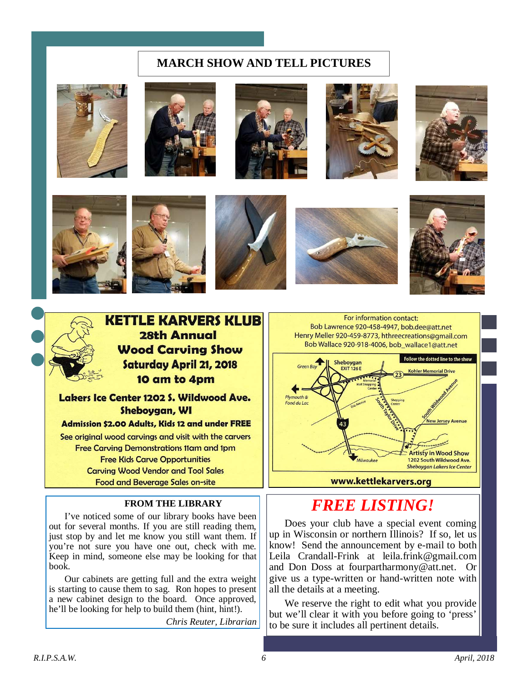# **MARCH SHOW AND TELL PICTURES**





















Lakers Ice Center 1202 S. Wildwood Ave. Sheboygan, WI

Admission \$2.00 Adults, Kids 12 and under FREE See original wood carvings and visit with the carvers **Free Carving Demonstrations 11am and 1pm Free Kids Carve Opportunities Carving Wood Vendor and Tool Sales Food and Beverage Sales on-site** 

#### **FROM THE LIBRARY**

I've noticed some of our library books have been out for several months. If you are still reading them, just stop by and let me know you still want them. If you're not sure you have one out, check with me. Keep in mind, someone else may be looking for that book.

Our cabinets are getting full and the extra weight is starting to cause them to sag. Ron hopes to present a new cabinet design to the board. Once approved, he'll be looking for help to build them (hint, hint!).

*Chris Reuter, Librarian* 

For information contact: Bob Lawrence 920-458-4947, bob.dee@att.net Henry Meller 920-459-8773, hthreecreations@gmail.com Bob Wallace 920-918-4006, bob wallace1@att.net



# *FREE LISTING!*

Does your club have a special event coming up in Wisconsin or northern Illinois? If so, let us know! Send the announcement by e-mail to both Leila Crandall-Frink at leila.frink@gmail.com and Don Doss at fourpartharmony@att.net. Or give us a type-written or hand-written note with all the details at a meeting.

We reserve the right to edit what you provide but we'll clear it with you before going to 'press' to be sure it includes all pertinent details.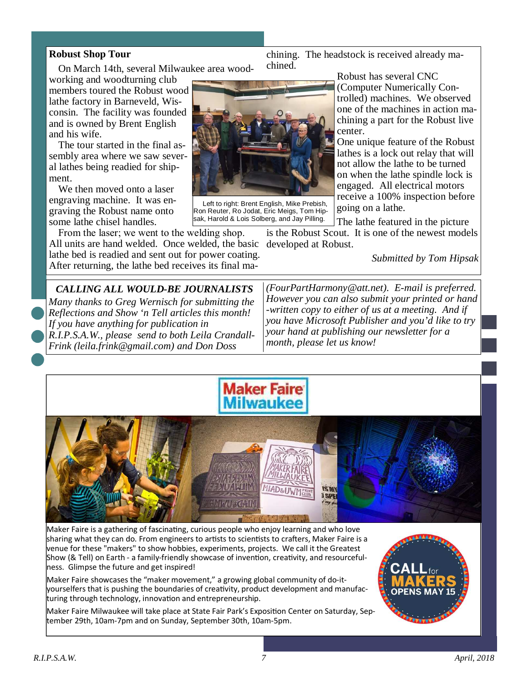### **Robust Shop Tour**

and his wife.

On March 14th, several Milwaukee area wood-

working and woodturning club members toured the Robust wood lathe factory in Barneveld, Wisconsin. The facility was founded and is owned by Brent English

The tour started in the final assembly area where we saw several lathes being readied for shipment.

We then moved onto a laser engraving machine. It was engraving the Robust name onto some lathe chisel handles.

From the laser; we went to the welding shop. All units are hand welded. Once welded, the basic developed at Robust. lathe bed is readied and sent out for power coating. After returning, the lathe bed receives its final ma-



chined.

Left to right: Brent English, Mike Prebish, Ron Reuter, Ro Jodat, Eric Meigs, Tom Hipsak, Harold & Lois Solberg, and Jay Pilling.

Robust has several CNC (Computer Numerically Controlled) machines. We observed one of the machines in action machining a part for the Robust live center.

One unique feature of the Robust lathes is a lock out relay that will not allow the lathe to be turned on when the lathe spindle lock is engaged. All electrical motors receive a 100% inspection before going on a lathe.

The lathe featured in the picture

is the Robust Scout. It is one of the newest models

chining. The headstock is received already ma-

*Submitted by Tom Hipsak* 

*CALLING ALL WOULD-BE JOURNALISTS Many thanks to Greg Wernisch for submitting the Reflections and Show 'n Tell articles this month! If you have anything for publication in R.I.P.S.A.W., please send to both Leila Crandall-Frink (leila.frink@gmail.com) and Don Doss* 

*(FourPartHarmony@att.net). E-mail is preferred. However you can also submit your printed or hand -written copy to either of us at a meeting. And if you have Microsoft Publisher and you'd like to try your hand at publishing our newsletter for a month, please let us know!* 





Maker Faire is a gathering of fascinating, curious people who enjoy learning and who love sharing what they can do. From engineers to artists to scientists to crafters, Maker Faire is a venue for these "makers" to show hobbies, experiments, projects. We call it the Greatest Show (& Tell) on Earth - a family-friendly showcase of invention, creativity, and resourcefulness. Glimpse the future and get inspired!

Maker Faire showcases the "maker movement," a growing global community of do-ityourselfers that is pushing the boundaries of creativity, product development and manufacturing through technology, innovation and entrepreneurship.

Maker Faire Milwaukee will take place at State Fair Park's Exposition Center on Saturday, September 29th, 10am-7pm and on Sunday, September 30th, 10am-5pm.

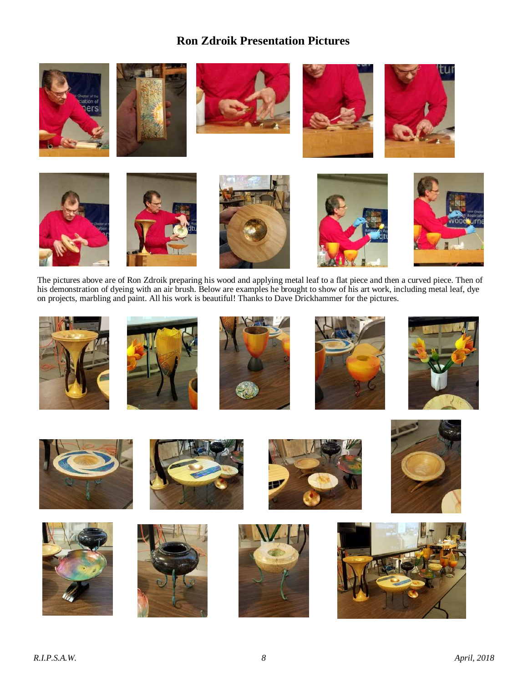# **Ron Zdroik Presentation Pictures**



The pictures above are of Ron Zdroik preparing his wood and applying metal leaf to a flat piece and then a curved piece. Then of his demonstration of dyeing with an air brush. Below are examples he brought to show of his art work, including metal leaf, dye on projects, marbling and paint. All his work is beautiful! Thanks to Dave Drickhammer for the pictures.

























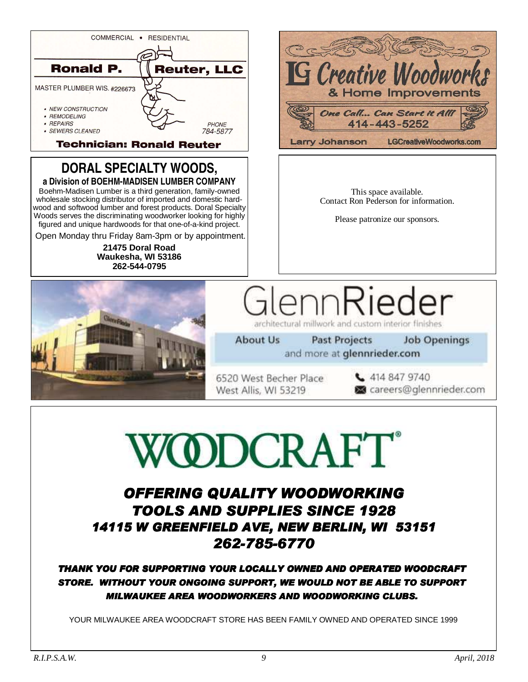